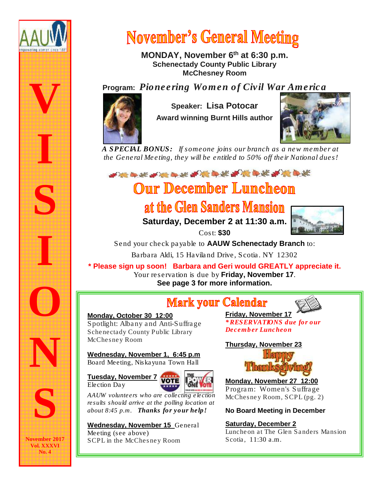

# **November's General Meeting**

MONDAY, November 6<sup>th</sup> at 6:30 p.m. Schenectady County Public Library McChesney Room

## Program: *Pioneering Women of Civil War America*



Speaker: Lisa Potocar Award winning Burnt Hills author



 *A SPECIAL BONUS: If someone joins our branch as a new member at the General Meeting, they will be entitled to 50% off their National dues!*

## **Our December Luncheon**

# at the Glen Sanders Mansion

Saturday, December 2 at 11:30 a.m. Cost: \$30



Send your check payable to AAUW Schenectady Branch to:

Barbara Aldi, 15 Haviland Drive, Scotia. NY 12302

\* Please sign up soon! Barbara and Geri would GREATLY appreciate it. Your reservation is due by Friday, November 17. See page 3 for more information.

# **Mark your Calendar**



Friday, November 17 *\* RESERVATIONS due for our December Luncheon*

Thursday, November 23



 Monday, November 27 12:00 Program: Women's Suffrage McChesney Room, SCPL (pg. 2)

No Board Meeting in December

Saturday, December 2 Luncheon at The Glen Sanders Mansion Scotia, 11:30 a.m.

Tuesday, November 7 Election Day

Wednesday, November 1, 6:45 p.m

Spotlight: Albany and Anti-Suffrage Schenectady County Public Library

Monday, October 30 12:00

McChesney Room



*AAUW volunteers who are collecting election results should arrive at the polling location at about 8:45 p.m. Thanks for your help!*

Wednesday, November 15 General Meeting (see above) SCPL in the McChesney Room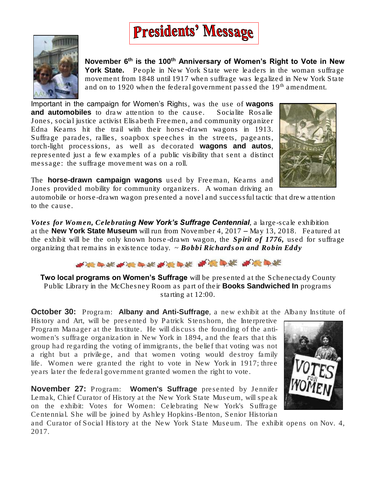

November  $6<sup>th</sup>$  is the 100<sup>th</sup> Anniversary of Women's Right to Vote in New York State. People in New York State were leaders in the woman suffrage movement from 1848 until 1917 when suffrage was legalized in New York State and on to 1920 when the federal government passed the  $19<sup>th</sup>$  amendment.

**Presidents' Message** 

Important in the campaign for Women's Rights, was the use of wagons and automobiles to draw attention to the cause. Socialite Rosalie Jones, social justice activist Elisabeth Freemen, and community organizer Edna Kearns hit the trail with their horse-drawn wagons in 1913. Suffrage parades, rallies, soapbox speeches in the streets, pageants, torch-light processions, as well as decorated wagons and autos, represented just a few examples of a public visibility that sent a distinct message: the suffrage movement was on a roll.



The horse-drawn campaign wagons used by Freeman, Kearns and Jones provided mobility for community organizers. A woman driving an

automobile or horse-drawn wagon presented a novel and successful tactic that drew attention to the cause.

*Votes for Women, Celebrating New York's Suffrage Centennial*, a large-scale exhibition at the New York State Museum will run from November 4, 2017 – May 13, 2018. Featured at the exhibit will be the only known horse-drawn wagon, the *Spirit of 1776,* used for suffrage organizing that remains in existence today. ~ *Bobbi Richardson and Robin Eddy*



Two local programs on Women's Suffrage will be presented at the Schenectady County Public Library in the McChesney Room as part of their Books Sandwiched In programs starting at 12:00.

October 30: Program: Albany and Anti-Suffrage, a new exhibit at the Albany Institute of

History and Art, will be presented by Patrick Stenshorn, the Interpretive Program Manager at the Institute. He will discuss the founding of the antiwomen's suffrage organization in New York in 1894, and the fears that this group had regarding the voting of immigrants, the belief that voting was not a right but a privilege, and that women voting would destroy family life. Women were granted the right to vote in New York in 1917; three years later the federal government granted women the right to vote.

November 27: Program: Women's Suffrage presented by Jennifer Lemak, Chief Curator of History at the New York State Museum, will speak on the exhibit: Votes for Women: Celebrating New York's Suffrage Centennial. She will be joined by Ashley Hopkins-Benton, Senior Historian

and Curator of Social History at the New York State Museum. The exhibit opens on Nov. 4, 2017.

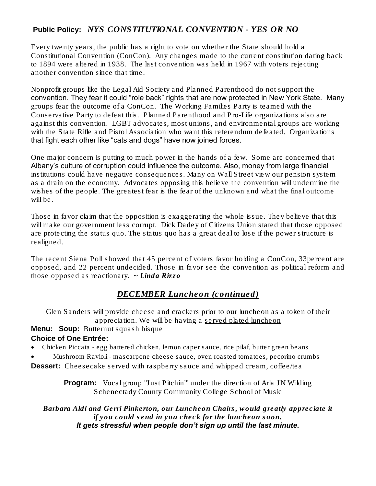### Public Policy: *NYS CONSTITUTIONAL CONVENTION - YES OR NO*

Every twenty years, the public has a right to vote on whether the State should hold a Constitutional Convention (ConCon). Any changes made to the current constitution dating back to 1894 were altered in 1938. The last convention was held in 1967 with voters rejecting another convention since that time.

Nonprofit groups like the Legal Aid Society and Planned Parenthood do not support the convention. They fear it could "role back" rights that are now protected in New York State. Many groups fear the outcome of a ConCon. The Working Families Party is teamed with the Conservative Party to defeat this. Planned Parenthood and Pro-Life organizations also are against this convention. LGBT advocates, most unions, and environmental groups are working with the State Rifle and Pistol Association who want this referendum defeated. Organizations that fight each other like "cats and dogs" have now joined forces.

One major concern is putting to much power in the hands of a few. Some are concerned that Albany's culture of corruption could influence the outcome. Also, money from large financial institutions could have negative consequences. Many on Wall Street view our pension system as a drain on the economy. Advocates opposing this believe the convention will undermine the wishes of the people. The greatest fear is the fear of the unknown and what the final outcome will be.

Those in favor claim that the opposition is exaggerating the whole issue. They believe that this will make our government less corrupt. Dick Dadey of Citizens Union stated that those opposed are protecting the status quo. The status quo has a great deal to lose if the power structure is realigned.

The recent Siena Poll showed that 45 percent of voters favor holding a ConCon, 33percent are opposed, and 22 percent undecided. Those in favor see the convention as political reform and those opposed as reactionary. *~ Linda Rizzo*

### *DECEMBER Luncheon (continued)*

Glen Sanders will provide cheese and crackers prior to our luncheon as a token of their appreciation. We will be having a served plated luncheon

Menu: Soup: Butternut squash bisque Choice of One Entrée:

• Chicken Piccata - egg battered chicken, lemon caper sauce, rice pilaf, butter green beans

• Mushroom Ravioli - mascarpone cheese sauce, oven roasted tomatoes, pecorino crumbs

Dessert: Cheesecake served with raspberry sauce and whipped cream, coffee/tea

Program: Vocal group "Just Pitchin'" under the direction of Arla JN Wilding Schenectady County Community College School of Music

*Barbara Aldi and Gerri Pinkerton, our Luncheon Chairs, would greatly appreciate it if you could send in you check for the luncheon soon. It gets stressful when people don't sign up until the last minute.*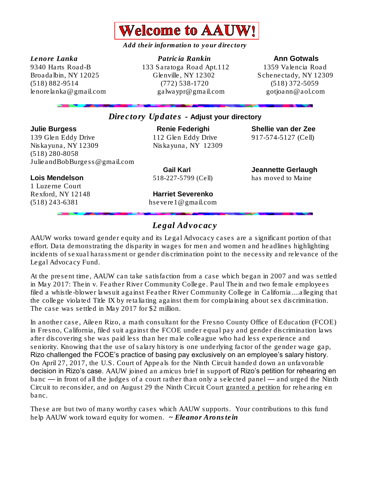

*Add their information to your directory* 

*Lenore Lanka Patricia Rankin* Ann Gotwals 9340 Harts Road-B 133 Saratoga Road Apt.112 1359 Valencia Road Broadalbin, NY 12025 Glenville, NY 12302 Schenectady, NY 12309 (518) 882-9514 (772) 538-1720 (518) 372-5059 [lenorelanka@gmail.com](mailto:lenorelanka@gmail.com) [galwaypr@gmail.com](mailto:galwaypr@gmail.com) gotjoann@aol.com

#### *Directory Updates -* Adjust your directory

Julie Burgess Renie Federighi Shellie van der Zee 139 Glen Eddy Drive 112 Glen Eddy Drive 917-574-5127 (Cell) Niskayuna, NY 12309 Niskayuna, NY 12309 (518) 280-8058 [JulieandBobBurgess@gmail.com](mailto:JulieandBobBurgess@gmail.com) 

Lois Mendelson 518-227-5799 (Cell) has moved to Maine 1 Luzerne Court

Gail Karl **Gail Karl Communist Communist Communist Communist Communist Communist Communist Communist Communist Communist Communist Communist Communist Communist Communist Communist Communist Communist Communist Communist C** 

Rexford, NY 12148 Harriet Severenko (518) 243-6381 [hsevere1@gmail.com](mailto:hsevere1@gmail.com)

## *Legal Advocacy*

AAUW works toward gender equity and its Legal Advocacy cases are a significant portion of that effort. Data demonstrating the disparity in wages for men and women and headlines highlighting incidents of sexual harassment or gender discrimination point to the necessity and relevance of the Legal Advocacy Fund.

At the present time, AAUW can take satisfaction from a case which began in 2007 and was settled in May 2017: Thein v. Feather River Community College. Paul Thein and two female employees filed a whistle-blower lawsuit against Feather River Community College in California....alleging that the college violated Title IX by retaliating against them for complaining about sex discrimination. The case was settled in May 2017 for \$2 million.

In another case, Aileen Rizo, a math consultant for the Fresno County Office of Education (FCOE) in Fresno, California, filed suit against the FCOE under equal pay and gender discrimination laws after discovering she was paid less than her male colleague who had less experience and seniority. Knowing that the use of salary history is one underlying factor of the gender wage gap, Rizo challenged the FCOE's practice of basing pay exclusively on an employee's salary history. On April 27, 2017, the U.S. Court of Appeals for the Ninth Circuit handed down an unfavorable decision in Rizo's case. AAUW joined an amicus brief in support of Rizo's petition for rehearing en banc — in front of all the judges of a court rather than only a selected panel — and urged the Ninth Circuit to reconsider, and on August 29 the Ninth Circuit Court [granted a petition](http://www.aauw.org/resource/rizo-v-fresno/) for rehearing en banc.

These are but two of many worthy cases which AAUW supports. Your contributions to this fund help AAUW work toward equity for women. *~ Eleanor Aronstein*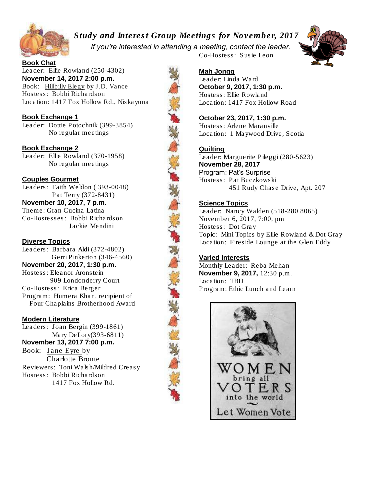

*Study and Interest Group Meetings for November, 2017 If you're interested in attending a meeting, contact the leader.*



Book Chat Leader: Ellie Rowland (250-4302) November 14, 2017 2:00 p.m. Book: Hillbilly Elegy by J.D. Vance Hostess: Bobbi Richardson Location: 1417 Fox Hollow Rd., Niskayuna

#### Book Exchange 1

Leader: Dottie Potochnik (399-3854) No regular meetings

Book Exchange 2 Leader: Ellie Rowland (370-1958) No regular meetings

#### Couples Gourmet

Leaders: Faith Weldon ( 393-0048) Pat Terry (372-8431) November 10, 2017, 7 p.m. Theme: Gran Cucina Latina Co-Hostesses: Bobbi Richardson Jackie Mendini

#### Diverse Topics

Leaders: Barbara Aldi (372-4802) Gerri Pinkerton (346-4560) November 20, 2017, 1:30 p.m. Hostess: Eleanor Aronstein 909 Londonderry Court Co-Hostess: Erica Berger Program: Humera Khan, recipient of Four Chaplains Brotherhood Award

#### Modern Literature

Leaders: Joan Bergin (399-1861) Mary DeLory(393-6811) November 13, 2017 7:00 p.m. Book: Jane Eyre by Charlotte Bronte Reviewers: Toni Walsh/Mildred Creasy Hostess: Bobbi Richardson 1417 Fox Hollow Rd.



#### Mah Jongg

Leader: Linda Ward October 9, 2017, 1:30 p.m. Hostess: Ellie Rowland Location: 1417 Fox Hollow Road

Co-Hostess: Susie Leon

October 23, 2017, 1:30 p.m. Hostess: Arlene Maranville Location: 1 Maywood Drive, Scotia

#### **Quilting**

Leader: Marguerite Pileggi (280-5623) November 28, 2017 Program: Pat's Surprise Hostess: Pat Buczkowski 451 Rudy Chase Drive, Apt. 207

#### Science Topics

Leader: Nancy Walden (518-280 8065) November 6, 2017, 7:00, pm Hostess: Dot Gray Topic: Mini Topics by Ellie Rowland & Dot Gray Location: Fireside Lounge at the Glen Eddy

#### Varied Interests

Monthly Leader: Reba Mehan November 9, 2017, 12:30 p.m. Location: TBD Program: Ethic Lunch and Learn